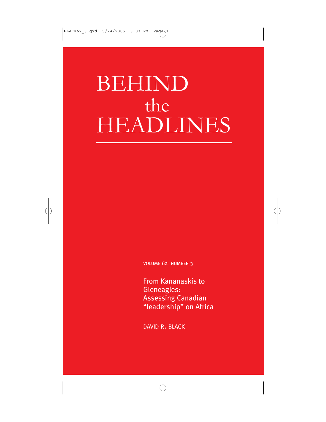# BEHIND the HEADLINES

VOLUME 62 NUMBER 3

From Kananaskis to Gleneagles: Assessing Canadian "leadership" on Africa

DAVID R. BLACK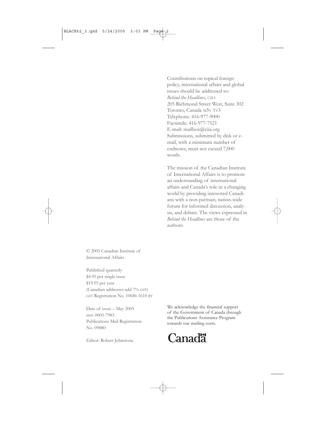Contributions on topical foreign policy, international affairs and global issues should be addressed to: *Behind the Headlines*, CIIA 205 Richmond Street West, Suite 302 Toronto, Canada M5V 1V3 Telephone: 416-977-9000 Facsimile: 416-977-7521 E-mail: mailbox@ciia.org Submissions, submitted by disk or email, with a minimum number of endnotes, must not exceed 7,000 words.

The mission of the Canadian Institute of International Affairs is to promote an understanding of international affairs and Canada's role in a changing world by providing interested Canadians with a non-partisan, nation-wide forum for informed discussion, analysis, and debate. The views expressed in *Behind the Headlines* are those of the authors.

© 2005 Canadian Institute of International Affairs

Published quarterly \$4.95 per single issue \$19.95 per year (Canadian addresses add 7% GST) GST Registration No. 10686 1610 RT

Date of issue – May 2005 ISSN 0005-7983 Publications Mail Registration No. 09880

Editor: Robert Johnstone

We acknowledge the financial support of the Government of Canada through the Publications Assistance Program towards our mailing costs.

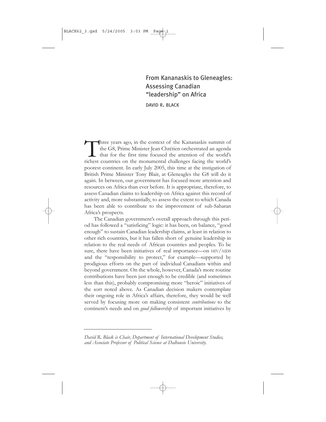### From Kananaskis to Gleneagles: Assessing Canadian "leadership" on Africa

DAVID R. BLACK

Three years ago, in the context of the Kananaskis summit of<br>the G8, Prime Minister Jean Chrétien orchestrated an agenda<br>that for the first time focused the attention of the world's<br>richest countries on the monumental chall the G8, Prime Minister Jean Chrétien orchestrated an agenda that for the first time focused the attention of the world's richest countries on the monumental challenges facing the world's poorest continent. In early July 2005, this time at the instigation of British Prime Minister Tony Blair, at Gleneagles the G8 will do it again. In between, our government has focused more attention and resources on Africa than ever before. It is appropriate, therefore, to assess Canadian claims to leadership on Africa against this record of activity and, more substantially, to assess the extent to which Canada has been able to contribute to the improvement of sub-Saharan Africa's prospects.

The Canadian government's overall approach through this period has followed a "satisficing" logic: it has been, on balance, "good enough" to sustain Canadian leadership claims, at least in relation to other rich countries, but it has fallen short of genuine leadership in relation to the real needs of African countries and peoples. To be sure, there have been initiatives of real importance—on HIV/AIDS and the "responsibility to protect," for example—supported by prodigious efforts on the part of individual Canadians within and beyond government. On the whole, however, Canada's more routine contributions have been just enough to be credible (and sometimes less than this), probably compromising more "heroic" initiatives of the sort noted above. As Canadian decision makers contemplate their ongoing role in Africa's affairs, therefore, they would be well served by focusing more on making consistent *contributions* to the continent's needs and on *good followership* of important initiatives by

*David R. Black is Chair, Department of International Development Studies, and Associate Professor of Political Science at Dalhousie University.*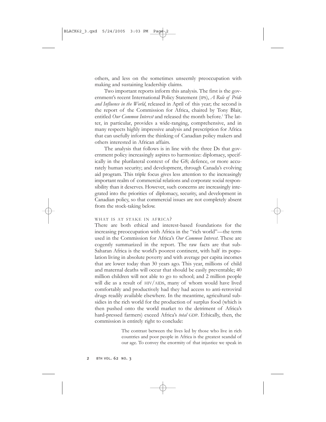others, and less on the sometimes unseemly preoccupation with making and sustaining leadership claims.

Two important reports inform this analysis. The first is the government's recent International Policy Statement (IPS), *A Role of Pride and Influence in the World*, released in April of this year; the second is the report of the Commission for Africa, chaired by Tony Blair, entitled *Our Common Interest* and released the month before.<sup>1</sup> The latter, in particular, provides a wide-ranging, comprehensive, and in many respects highly impressive analysis and prescription for Africa that can usefully inform the thinking of Canadian policy makers and others interested in African affairs.

The analysis that follows is in line with the three Ds that government policy increasingly aspires to harmonize: diplomacy, specifically in the plurilateral context of the G8; defence, or more accurately human security; and development, through Canada's evolving aid program. This triple focus gives less attention to the increasingly important realm of commercial relations and corporate social responsibility than it deserves. However, such concerns are increasingly integrated into the priorities of diplomacy, security, and development in Canadian policy, so that commercial issues are not completely absent from the stock-taking below.

#### WHAT IS AT STAKE IN AFRICA?

There are both ethical and interest-based foundations for the increasing preoccupation with Africa in the "rich world"—the term used in the Commission for Africa's *Our Common Interest*. These are cogently summarized in the report. The raw facts are that sub-Saharan Africa is the world's poorest continent, with half its population living in absolute poverty and with average per capita incomes that are lower today than 30 years ago. This year, millions of child and maternal deaths will occur that should be easily preventable; 40 million children will not able to go to school; and 2 million people will die as a result of HIV/AIDS, many of whom would have lived comfortably and productively had they had access to anti-retroviral drugs readily available elsewhere. In the meantime, agricultural subsidies in the rich world for the production of surplus food (which is then pushed onto the world market to the detriment of Africa's hard-pressed farmers) exceed Africa's *total* GDP. Ethically, then, the commission is entirely right to conclude:

> The contrast between the lives led by those who live in rich countries and poor people in Africa is the greatest scandal of our age. To convey the enormity of that injustice we speak in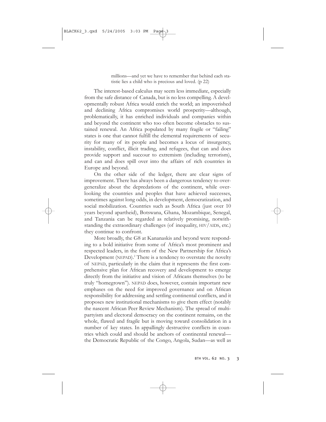millions—and yet we have to remember that behind each statistic lies a child who is precious and loved. (p 22)

The interest-based calculus may seem less immediate, especially from the safe distance of Canada, but is no less compelling. A developmentally robust Africa would enrich the world; an impoverished and declining Africa compromises world prosperity—although, problematically, it has enriched individuals and companies within and beyond the continent who too often become obstacles to sustained renewal. An Africa populated by many fragile or "failing" states is one that cannot fulfill the elemental requirements of security for many of its people and becomes a locus of insurgency, instability, conflict, illicit trading, and refugees, that can and does provide support and succour to extremism (including terrorism), and can and does spill over into the affairs of rich countries in Europe and beyond.

On the other side of the ledger, there are clear signs of improvement. There has always been a dangerous tendency to overgeneralize about the depredations of the continent, while overlooking the countries and peoples that have achieved successes, sometimes against long odds, in development, democratization, and social mobilization. Countries such as South Africa (just over 10 years beyond apartheid), Botswana, Ghana, Mozambique, Senegal, and Tanzania can be regarded as relatively promising, notwithstanding the extraordinary challenges (of inequality, HIV/AIDS, etc.) they continue to confront.

More broadly, the G8 at Kananaskis and beyond were responding to a bold initiative from some of Africa's most prominent and respected leaders, in the form of the New Partnership for Africa's Development (NEPAD).<sup>2</sup> There is a tendency to overstate the novelty of NEPAD, particularly in the claim that it represents the first comprehensive plan for African recovery and development to emerge directly from the initiative and vision of Africans themselves (to be truly "homegrown"). NEPAD does, however, contain important new emphases on the need for improved governance and on African responsibility for addressing and settling continental conflicts, and it proposes new institutional mechanisms to give them effect (notably the nascent African Peer Review Mechanism). The spread of multipartyism and electoral democracy on the continent remains, on the whole, flawed and fragile but is moving toward consolidation in a number of key states. In appallingly destructive conflicts in countries which could and should be anchors of continental renewal the Democratic Republic of the Congo, Angola, Sudan—as well as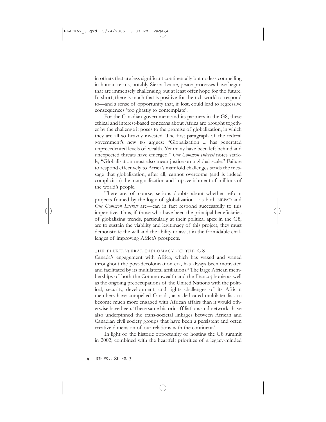in others that are less significant continentally but no less compelling in human terms, notably Sierra Leone, peace processes have begun that are immensely challenging but at least offer hope for the future. In short, there is much that is positive for the rich world to respond to—and a sense of opportunity that, if lost, could lead to regressive consequences 'too ghastly to contemplate'.

For the Canadian government and its partners in the G8, these ethical and interest-based concerns about Africa are brought together by the challenge it poses to the promise of globalization, in which they are all so heavily invested. The first paragraph of the federal government's new IPS argues: "Globalization ... has generated unprecedented levels of wealth. Yet many have been left behind and unexpected threats have emerged." *Our Common Interest* notes starkly, "Globalisation must also mean justice on a global scale." Failure to respond effectively to Africa's manifold challenges sends the message that globalization, after all, cannot overcome (and is indeed complicit in) the marginalization and impoverishment of millions of the world's people.

There are, of course, serious doubts about whether reform projects framed by the logic of globalization—as both NEPAD and *Our Common Interest* are—can in fact respond successfully to this imperative. Thus, if those who have been the principal beneficiaries of globalizing trends, particularly at their political apex in the G8, are to sustain the viability and legitimacy of this project, they must demonstrate the will and the ability to assist in the formidable challenges of improving Africa's prospects.

#### THE PLURILATERAL DIPLOMACY OF THE G8

Canada's engagement with Africa, which has waxed and waned throughout the post-decolonization era, has always been motivated and facilitated by its multilateral affiliations.3 The large African memberships of both the Commonwealth and the Francophonie as well as the ongoing preoccupations of the United Nations with the political, security, development, and rights challenges of its African members have compelled Canada, as a dedicated multilateralist, to become much more engaged with African affairs than it would otherwise have been. These same historic affiliations and networks have also underpinned the trans-societal linkages between African and Canadian civil society groups that have been a persistent and often creative dimension of our relations with the continent.4

In light of the historic opportunity of hosting the G8 summit in 2002, combined with the heartfelt priorities of a legacy-minded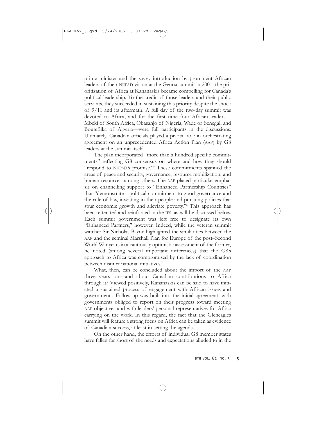prime minister and the savvy introduction by prominent African leaders of their NEPAD vision at the Genoa summit in 2001, the prioritization of Africa at Kananaskis became compelling for Canada's political leadership. To the credit of those leaders and their public servants, they succeeded in sustaining this priority despite the shock of 9/11 and its aftermath. A full day of the two-day summit was devoted to Africa, and for the first time four African leaders— Mbeki of South Africa, Obasanjo of Nigeria, Wade of Senegal, and Bouteflika of Algeria—were full participants in the discussions. Ultimately, Canadian officials played a pivotal role in orchestrating agreement on an unprecedented Africa Action Plan (AAP) by G8 leaders at the summit itself.

The plan incorporated "more than a hundred specific commitments" reflecting G8 consensus on where and how they should "respond to NEPAD's promise."5 These commitments spanned the areas of peace and security, governance, resource mobilization, and human resources, among others. The AAP placed particular emphasis on channelling support to "Enhanced Partnership Countries" that "demonstrate a political commitment to good governance and the rule of law, investing in their people and pursuing policies that spur economic growth and alleviate poverty."6 This approach has been reiterated and reinforced in the IPS, as will be discussed below. Each summit government was left free to designate its own "Enhanced Partners," however. Indeed, while the veteran summit watcher Sir Nicholas Bayne highlighted the similarities between the AAP and the seminal Marshall Plan for Europe of the post–Second World War years in a cautiously optimistic assessment of the former, he noted (among several important differences) that the G8's approach to Africa was compromised by the lack of coordination between distinct national initiatives.<sup>7</sup>

What, then, can be concluded about the import of the AAP three years on—and about Canadian contributions to Africa through it? Viewed positively, Kananaskis can be said to have initiated a sustained process of engagement with African issues and governments. Follow-up was built into the initial agreement, with governments obliged to report on their progress toward meeting AAP objectives and with leaders' personal representatives for Africa carrying on the work. In this regard, the fact that the Gleneagles summit will feature a strong focus on Africa can be taken as evidence of Canadian success, at least in setting the agenda.

On the other hand, the efforts of individual G8 member states have fallen far short of the needs and expectations alluded to in the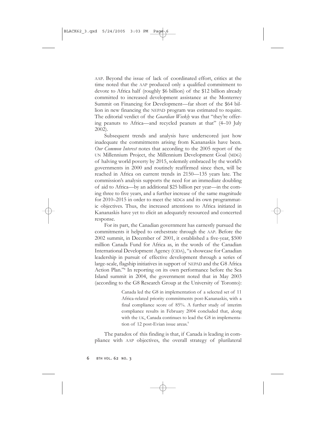AAP. Beyond the issue of lack of coordinated effort, critics at the time noted that the AAP produced only a qualified commitment to devote to Africa half (roughly \$6 billion) of the \$12 billion already committed to increased development assistance at the Monterrey Summit on Financing for Development—far short of the \$64 billion in new financing the NEPAD program was estimated to require. The editorial verdict of the *Guardian Weekly* was that "they're offering peanuts to Africa—and recycled peanuts at that" (4–10 July 2002).

Subsequent trends and analysis have underscored just how inadequate the commitments arising from Kananaskis have been. *Our Common Interest* notes that according to the 2005 report of the UN Millennium Project, the Millennium Development Goal (MDG) of halving world poverty by 2015, solemnly embraced by the world's governments in 2000 and routinely reaffirmed since then, will be reached in Africa on current trends in 2150—135 years late. The commission's analysis supports the need for an immediate doubling of aid to Africa—by an additional \$25 billion per year—in the coming three to five years, and a further increase of the same magnitude for 2010–2015 in order to meet the MDGs and its own programmatic objectives. Thus, the increased attentions to Africa initiated in Kananaskis have yet to elicit an adequately resourced and concerted response.

For its part, the Canadian government has earnestly pursued the commitments it helped to orchestrate through the AAP. Before the 2002 summit, in December of 2001, it established a five-year, \$500 million Canada Fund for Africa as, in the words of the Canadian International Development Agency (CIDA), "a showcase for Canadian leadership in pursuit of effective development through a series of large-scale, flagship initiatives in support of NEPAD and the G8 Africa Action Plan."8 In reporting on its own performance before the Sea Island summit in 2004, the government noted that in May 2003 (according to the G8 Research Group at the University of Toronto):

> Canada led the G8 in implementation of a selected set of 11 Africa-related priority commitments post-Kananaskis, with a final compliance score of 85%. A further study of interim compliance results in February 2004 concluded that, along with the UK, Canada continues to lead the G8 in implementation of 12 post-Evian issue areas.<sup>9</sup>

The paradox of this finding is that, if Canada is leading in compliance with AAP objectives, the overall strategy of plurilateral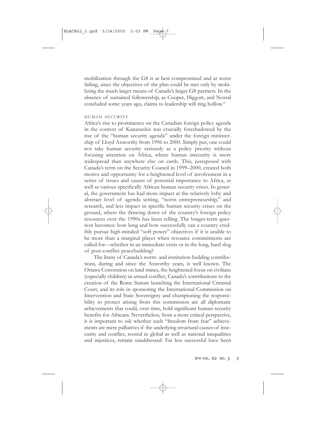mobilization through the G8 is at best compromised and at worst failing, since the objectives of the plan could be met only by mobilizing the much larger means of Canada's larger G8 partners. In the absence of sustained followership, as Cooper, Higgott, and Nossal concluded some years ago, claims to leadership will ring hollow.10

#### HUMAN SECURITY

Africa's rise to prominence on the Canadian foreign policy agenda in the context of Kananaskis was crucially foreshadowed by the rise of the "human security agenda" under the foreign ministership of Lloyd Axworthy from 1996 to 2000. Simply put, one could not take human security seriously as a policy priority without focusing attention on Africa, where human *in*security is more widespread than anywhere else on earth. This, juxtaposed with Canada's term on the Security Council in 1999–2000, created both motive and opportunity for a heightened level of involvement in a series of issues and causes of potential importance to Africa, as well as various specifically African human security crises. In general, the government has had more impact at the relatively lofty and abstract level of agenda setting, "norm entrepreneurship," and research, and less impact in specific human security crises on the ground, where the drawing down of the country's foreign policy resources over the 1990s has been telling. The longer-term question becomes: how long and how successfully can a country credibly pursue high-minded "soft power" objectives if it is unable to be more than a marginal player when resource commitments are called for—whether in an immediate crisis or in the long, hard slog of post-conflict peacebuilding?

The litany of Canada's norm- and institution-building contributions, during and since the Axworthy years, is well known. The Ottawa Convention on land mines, the heightened focus on civilians (especially children) in armed conflict, Canada's contributions to the creation of the Rome Statute launching the International Criminal Court, and its role in sponsoring the International Commission on Intervention and State Sovereignty and championing the responsibility to protect arising from this commission are all diplomatic achievements that could, over time, hold significant human security benefits for Africans. Nevertheless, from a more critical perspective, it is important to ask whether such "freedom from fear" achievements are mere palliatives if the underlying structural causes of insecurity and conflict, rooted in global as well as national inequalities and injustices, remain unaddressed. Far less successful have been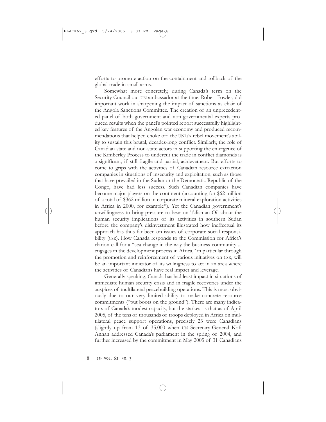efforts to promote action on the containment and rollback of the global trade in small arms.

Somewhat more concretely, during Canada's term on the Security Council our UN ambassador at the time, Robert Fowler, did important work in sharpening the impact of sanctions as chair of the Angola Sanctions Committee. The creation of an unprecedented panel of both government and non-governmental experts produced results when the panel's pointed report successfully highlighted key features of the Angolan war economy and produced recommendations that helped choke off the UNITA rebel movement's ability to sustain this brutal, decades-long conflict. Similarly, the role of Canadian state and non-state actors in supporting the emergence of the Kimberley Process to undercut the trade in conflict diamonds is a significant, if still fragile and partial, achievement. But efforts to come to grips with the activities of Canadian resource extraction companies in situations of insecurity and exploitation, such as those that have prevailed in the Sudan or the Democratic Republic of the Congo, have had less success. Such Canadian companies have become major players on the continent (accounting for \$62 million of a total of \$362 million in corporate mineral exploration activities in Africa in 2000, for example<sup>11</sup>). Yet the Canadian government's unwillingness to bring pressure to bear on Talisman Oil about the human security implications of its activities in southern Sudan before the company's disinvestment illustrated how ineffectual its approach has thus far been on issues of corporate social responsibility (CSR). How Canada responds to the Commission for Africa's clarion call for a "sea change in the way the business community ... engages in the development process in Africa," in particular through the promotion and reinforcement of various initiatives on CSR, will be an important indicator of its willingness to act in an area where the activities of Canadians have real impact and leverage.

Generally speaking, Canada has had least impact in situations of immediate human security crisis and in fragile recoveries under the auspices of multilateral peacebuilding operations. This is most obviously due to our very limited ability to make concrete resource commitments ("put boots on the ground"). There are many indicators of Canada's modest capacity, but the starkest is that as of April 2005, of the tens of thousands of troops deployed in Africa on multilateral peace support operations, precisely 23 were Canadians (slightly up from 13 of 35,000 when UN Secretary-General Kofi Annan addressed Canada's parliament in the spring of 2004, and further increased by the commitment in May 2005 of 31 Canadians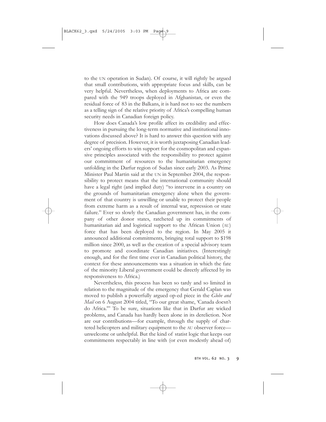to the UN operation in Sudan). Of course, it will rightly be argued that small contributions, with appropriate focus and skills, can be very helpful. Nevertheless, when deployments to Africa are compared with the 949 troops deployed in Afghanistan, or even the residual force of 83 in the Balkans, it is hard not to see the numbers as a telling sign of the relative priority of Africa's compelling human security needs in Canadian foreign policy.

How does Canada's low profile affect its credibility and effectiveness in pursuing the long-term normative and institutional innovations discussed above? It is hard to answer this question with any degree of precision. However, it is worth juxtaposing Canadian leaders' ongoing efforts to win support for the cosmopolitan and expansive principles associated with the responsibility to protect against our commitment of resources to the humanitarian emergency unfolding in the Darfur region of Sudan since early 2003. As Prime Minister Paul Martin said at the UN in September 2004, the responsibility to protect means that the international community should have a legal right (and implied duty) "to intervene in a country on the grounds of humanitarian emergency alone when the government of that country is unwilling or unable to protect their people from extreme harm as a result of internal war, repression or state failure." Ever so slowly the Canadian government has, in the company of other donor states, ratcheted up its commitments of humanitarian aid and logistical support to the African Union (AU) force that has been deployed to the region. In May 2005 it announced additional commitments, bringing total support to \$198 million since 2000, as well as the creation of a special advisory team to promote and coordinate Canadian initiatives. (Interestingly enough, and for the first time ever in Canadian political history, the context for these announcements was a situation in which the fate of the minority Liberal government could be directly affected by its responsiveness to Africa.)

Nevertheless, this process has been so tardy and so limited in relation to the magnitude of the emergency that Gerald Caplan was moved to publish a powerfully argued op-ed piece in the *Globe and Mail* on 6 August 2004 titled, "To our great shame, 'Canada doesn't do Africa.'" To be sure, situations like that in Darfur are wicked problems, and Canada has hardly been alone in its dereliction. Nor are our contributions—for example, through the supply of chartered helicopters and military equipment to the AU observer force unwelcome or unhelpful. But the kind of statist logic that keeps our commitments respectably in line with (or even modestly ahead of)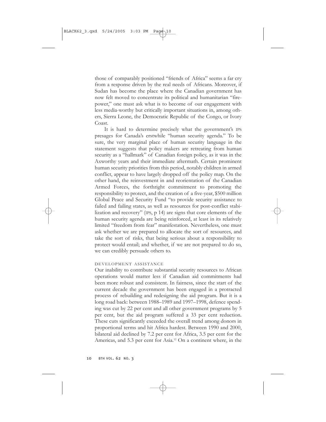those of comparably positioned "friends of Africa" seems a far cry from a response driven by the real needs of Africans. Moreover, if Sudan has become the place where the Canadian government has now felt moved to concentrate its political and humanitarian "firepower," one must ask what is to become of our engagement with less media-worthy but critically important situations in, among others, Sierra Leone, the Democratic Republic of the Congo, or Ivory Coast.

It is hard to determine precisely what the government's IPS presages for Canada's erstwhile "human security agenda." To be sure, the very marginal place of human security language in the statement suggests that policy makers are retreating from human security as a "hallmark" of Canadian foreign policy, as it was in the Axworthy years and their immediate aftermath. Certain prominent human security priorities from this period, notably children in armed conflict, appear to have largely dropped off the policy map. On the other hand, the reinvestment in and reorientation of the Canadian Armed Forces, the forthright commitment to promoting the responsibility to protect, and the creation of a five-year, \$500 million Global Peace and Security Fund "to provide security assistance to failed and failing states, as well as resources for post-conflict stabilization and recovery" (IPS, p 14) are signs that core elements of the human security agenda are being reinforced, at least in its relatively limited "freedom from fear" manifestation. Nevertheless, one must ask whether we are prepared to allocate the sort of resources, and take the sort of risks, that being serious about a responsibility to protect would entail; and whether, if we are not prepared to do so, we can credibly persuade others to.

#### DEVELOPMENT ASSISTANCE

Our inability to contribute substantial security resources to African operations would matter less if Canadian aid commitments had been more robust and consistent. In fairness, since the start of the current decade the government has been engaged in a protracted process of rebuilding and redesigning the aid program. But it is a long road back: between 1988–1989 and 1997–1998, defence spending was cut by 22 per cent and all other government programs by 5 per cent, but the aid program suffered a 33 per cent reduction. These cuts significantly exceeded the overall trend among donors in proportional terms and hit Africa hardest. Between 1990 and 2000, bilateral aid declined by 7.2 per cent for Africa, 3.5 per cent for the Americas, and 5.3 per cent for Asia.<sup>12</sup> On a continent where, in the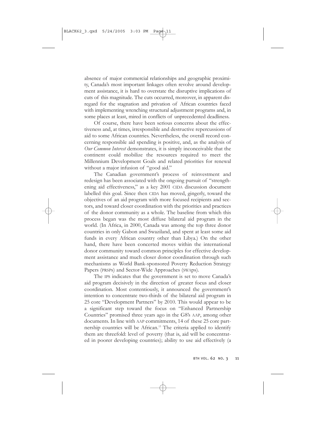absence of major commercial relationships and geographic proximity, Canada's most important linkages often revolve around development assistance, it is hard to overstate the disruptive implications of cuts of this magnitude. The cuts occurred, moreover, in apparent disregard for the stagnation and privation of African countries faced with implementing wrenching structural adjustment programs and, in some places at least, mired in conflicts of unprecedented deadliness.

Of course, there have been serious concerns about the effectiveness and, at times, irresponsible and destructive repercussions of aid to some African countries. Nevertheless, the overall record concerning responsible aid spending is positive, and, as the analysis of *Our Common Interest* demonstrates, it is simply inconceivable that the continent could mobilize the resources required to meet the Millennium Development Goals and related priorities for renewal without a major infusion of "good aid."

The Canadian government's process of reinvestment and redesign has been associated with the ongoing pursuit of "strengthening aid effectiveness," as a key 2001 CIDA discussion document labelled this goal. Since then CIDA has moved, gingerly, toward the objectives of an aid program with more focused recipients and sectors, and toward closer coordination with the priorities and practices of the donor community as a whole. The baseline from which this process began was the most diffuse bilateral aid program in the world. (In Africa, in 2000, Canada was among the top three donor countries in only Gabon and Swaziland, and spent at least some aid funds in every African country other than Libya.) On the other hand, there have been concerted moves within the international donor community toward common principles for effective development assistance and much closer donor coordination through such mechanisms as World Bank-sponsored Poverty Reduction Strategy Papers (PRSPs) and Sector-Wide Approaches (SWAps).

The IPS indicates that the government is set to move Canada's aid program decisively in the direction of greater focus and closer coordination. Most contentiously, it announced the government's intention to concentrate two-thirds of the bilateral aid program in 25 core "Development Partners" by 2010. This would appear to be a significant step toward the focus on "Enhanced Partnership Countries" promised three years ago in the G8's AAP, among other documents. In line with AAP commitments, 14 of these 25 core partnership countries will be African.<sup>13</sup> The criteria applied to identify them are threefold: level of poverty (that is, aid will be concentrated in poorer developing countries); ability to use aid effectively (a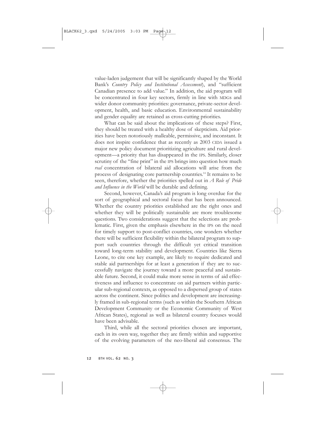value-laden judgement that will be significantly shaped by the World Bank's *Country Policy and Institutional Assessment*), and "sufficient Canadian presence to add value." In addition, the aid program will be concentrated in four key sectors, firmly in line with MDGs and wider donor community priorities: governance, private-sector development, health, and basic education. Environmental sustainability and gender equality are retained as cross-cutting priorities.

What can be said about the implications of these steps? First, they should be treated with a healthy dose of skepticism. Aid priorities have been notoriously malleable, permissive, and inconstant. It does not inspire confidence that as recently as 2003 CIDA issued a major new policy document prioritizing agriculture and rural development—a priority that has disappeared in the IPS. Similarly, closer scrutiny of the "fine print" in the IPS brings into question how much *real* concentration of bilateral aid allocations will arise from the process of designating core partnership countries.14 It remains to be seen, therefore, whether the priorities spelled out in *A Role of Pride and Influence in the World* will be durable and defining.

Second, however, Canada's aid program is long overdue for the sort of geographical and sectoral focus that has been announced. Whether the country priorities established are the right ones and whether they will be politically sustainable are more troublesome questions. Two considerations suggest that the selections are problematic. First, given the emphasis elsewhere in the IPS on the need for timely support to post-conflict countries, one wonders whether there will be sufficient flexibility within the bilateral program to support such countries through the difficult yet critical transition toward long-term stability and development. Countries like Sierra Leone, to cite one key example, are likely to require dedicated and stable aid partnerships for at least a generation if they are to successfully navigate the journey toward a more peaceful and sustainable future. Second, it could make more sense in terms of aid effectiveness and influence to concentrate on aid partners within particular sub-regional contexts, as opposed to a dispersed group of states across the continent. Since politics and development are increasingly framed in sub-regional terms (such as within the Southern African Development Community or the Economic Community of West African States), regional as well as bilateral country focuses would have been advisable.

Third, while all the sectoral priorities chosen are important, each in its own way, together they are firmly within and supportive of the evolving parameters of the neo-liberal aid consensus. The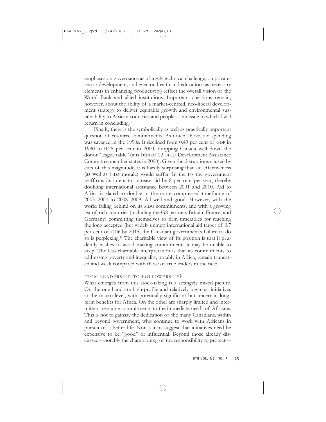emphases on governance as a largely technical challenge, on privatesector development, and even on health and education (as necessary elements in enhancing productivity) reflect the overall vision of the World Bank and allied institutions. Important questions remain, however, about the ability of a market-centred, neo-liberal development strategy to deliver equitable growth and environmental sustainability to African countries and peoples—an issue to which I will return in concluding.

Finally, there is the symbolically as well as practically important question of resource commitments. As noted above, aid spending was savaged in the 1990s. It declined from 0.49 per cent of GDP in 1990 to 0.25 per cent in 2000, dropping Canada well down the donor "league table" (it is 16th of 22 OECD Development Assistance Committee member states in 2000). Given the disruptions caused by cuts of this magnitude, it is hardly surprising that aid effectiveness (as well as CIDA morale) would suffer. In the IPS the government reaffirms its intent to increase aid by 8 per cent per year, thereby doubling international assistance between 2001 and 2010. Aid to Africa is slated to double in the more compressed timeframe of 2003–2004 to 2008–2009. All well and good. However, with the world falling behind on its MDG commitments, and with a growing list of rich countries (including the G8 partners Britain, France, and Germany) committing themselves to firm timetables for reaching the long accepted (but widely unmet) international aid target of 0.7 per cent of GDP by 2015, the Canadian government's failure to do so is perplexing.15 The charitable view of its position is that it prudently wishes to avoid making commitments it may be unable to keep. The less charitable interpretation is that its commitments to addressing poverty and inequality, notably in Africa, remain truncated and weak compared with those of true leaders in the field.

#### FROM LEADERSHIP TO FOLLOWERSHIP?

What emerges from this stock-taking is a strangely mixed picture. On the one hand are high-profile and relatively low-cost initiatives at the macro level, with potentially significant but uncertain longterm benefits for Africa. On the other are sharply limited and intermittent resource commitments to the immediate needs of Africans. This is not to gainsay the dedication of the many Canadians, within and beyond government, who continue to work with Africans in pursuit of a better life. Nor is it to suggest that initiatives need be expensive to be "good" or influential. Beyond those already discussed—notably the championing of the responsibility to protect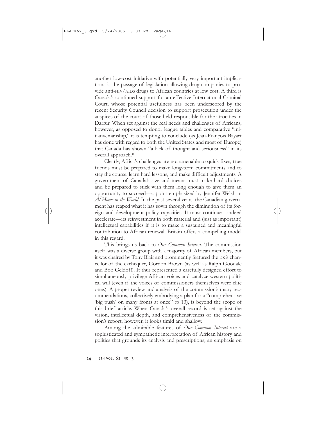another low-cost initiative with potentially very important implications is the passage of legislation allowing drug companies to provide anti-HIV/AIDS drugs to African countries at low cost. A third is Canada's continued support for an effective International Criminal Court, whose potential usefulness has been underscored by the recent Security Council decision to support prosecution under the auspices of the court of those held responsible for the atrocities in Darfur. When set against the real needs and challenges of Africans, however, as opposed to donor league tables and comparative "initiativemanship," it is tempting to conclude (as Jean-François Bayart has done with regard to both the United States and most of Europe) that Canada has shown "a lack of thought and seriousness" in its overall approach.<sup>16</sup>

Clearly, Africa's challenges are not amenable to quick fixes; true friends must be prepared to make long-term commitments and to stay the course, learn hard lessons, and make difficult adjustments. A government of Canada's size and means must make hard choices and be prepared to stick with them long enough to give them an opportunity to succeed—a point emphasized by Jennifer Welsh in *At Home in the World.* In the past several years, the Canadian government has reaped what it has sown through the diminution of its foreign and development policy capacities. It must continue—indeed accelerate—its reinvestment in both material and (just as important) intellectual capabilities if it is to make a sustained and meaningful contribution to African renewal. Britain offers a compelling model in this regard.

This brings us back to *Our Common Interest*. The commission itself was a diverse group with a majority of African members, but it was chaired by Tony Blair and prominently featured the UK's chancellor of the exchequer, Gordon Brown (as well as Ralph Goodale and Bob Geldof!). It thus represented a carefully designed effort to simultaneously privilege African voices and catalyze western political will (even if the voices of commissioners themselves were elite ones). A proper review and analysis of the commission's many recommendations, collectively embodying a plan for a "comprehensive 'big push' on many fronts at once" (p 13), is beyond the scope of this brief article. When Canada's overall record is set against the vision, intellectual depth, and comprehensiveness of the commission's report, however, it looks timid and shallow.

Among the admirable features of *Our Common Interest* are a sophisticated and sympathetic interpretation of African history and politics that grounds its analysis and prescriptions; an emphasis on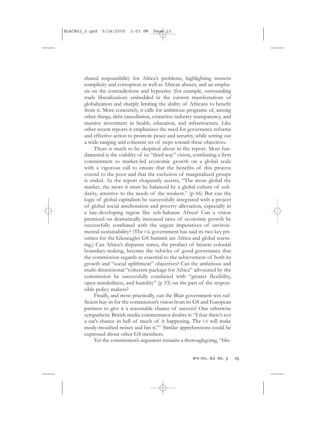shared responsibility for Africa's problems, highlighting western complicity and corruption as well as African abuses; and an emphasis on the contradictions and hypocrisy (for example, surrounding trade liberalization) embedded in the current manifestations of globalization and sharply limiting the ability of Africans to benefit from it. More concretely, it calls for ambitious programs of, among other things, debt cancellation, extractive industry transparency, and massive investment in health, education, and infrastructure. Like other recent reports it emphasizes the need for governance reforms and effective action to promote peace and security, while setting out a wide-ranging and coherent set of steps toward these objectives.

There is much to be skeptical about in the report. Most fundamental is the viability of its "third way" vision, combining a firm commitment to market-led economic growth on a global scale with a vigorous call to ensure that the benefits of this process extend to the poor and that the exclusion of marginalized groups is ended. As the report eloquently asserts, "The more global the market, the more it must be balanced by a global culture of solidarity, attentive to the needs of the weakest." (p 66) But can the logic of global capitalism be successfully integrated with a project of global social amelioration and poverty alleviation, especially in a late-developing region like sub-Saharan Africa? Can a vision premised on dramatically increased rates of economic growth be successfully combined with the urgent imperatives of environmental sustainability? (The UK government has said its two key priorities for the Gleneagles G8 Summit are Africa and global warming.) Can Africa's disparate states, the product of bizarre colonial boundary-making, become the vehicles of good governance that the commission regards as essential to the achievement of both its growth and "social upliftment" objectives? Can the ambitious and multi-dimensional "coherent package for Africa" advocated by the commission be successfully combined with "greater flexibility, open-mindedness, and humility" (p 33) on the part of the responsible policy makers?

Finally, and most practically, can the Blair government win sufficient buy-in for the commission's vision from its G8 and European partners to give it a reasonable chance of success? One otherwise sympathetic British media commentator doubts it: "I fear there's not a cat's chance in hell of much of it happening. The US will make mealy-mouthed noises and bin it."17 Similar apprehensions could be expressed about other G8 members.

Yet the commission's argument remains a thoroughgoing, "blis-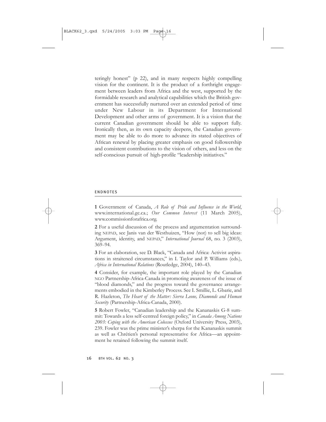teringly honest" (p 22), and in many respects highly compelling vision for the continent. It is the product of a forthright engagement between leaders from Africa and the west, supported by the formidable research and analytical capabilities which the British government has successfully nurtured over an extended period of time under New Labour in its Department for International Development and other arms of government. It is a vision that the current Canadian government should be able to support fully. Ironically then, as its own capacity deepens, the Canadian government may be able to do more to advance its stated objectives of African renewal by placing greater emphasis on good followership and consistent contributions to the vision of others, and less on the self-conscious pursuit of high-profile "leadership initiatives."

#### ENDNOTES

**1** Government of Canada, *A Role of Pride and Influence in the World*, www.international.gc.ca.; *Our Common Interest* (11 March 2005), www.commissionforafrica.org.

**2** For a useful discussion of the process and argumentation surrounding NEPAD, see Janis van der Westhuizen, "How (not) to sell big ideas: Argument, identity, and NEPAD," *International Journal* 68, no. 3 (2003), 369–94.

**3** For an elaboration, see D. Black, "Canada and Africa: Activist aspirations in straitened circumstances," in I. Taylor and P. Williams (eds.), *Africa in International Relations* (Routledge, 2004), 140*–*43.

**4** Consider, for example, the important role played by the Canadian NGO Partnership-Africa-Canada in promoting awareness of the issue of "blood diamonds," and the progress toward the governance arrangements embodied in the Kimberley Process. See I. Smillie, L. Gbarie, and R. Hazleton, *The Heart of the Matter: Sierra Leone, Diamonds and Human Security* (Partnership-Africa-Canada, 2000).

**5** Robert Fowler, "Canadian leadership and the Kananaskis G-8 summit: Towards a less self-centred foreign policy," in *Canada Among Nations 2003: Coping with the American Colossus* (Oxford University Press, 2003), 239. Fowler was the prime minister's sherpa for the Kananaskis summit as well as Chrétien's personal representative for Africa—an appointment he retained following the summit itself.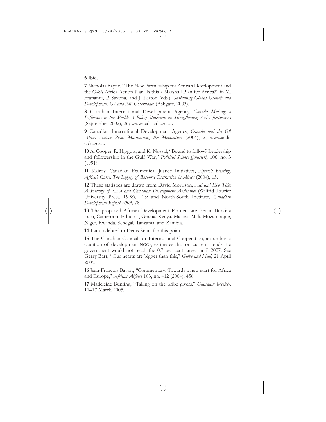#### **6** Ibid.

**7** Nicholas Bayne, "The New Partnership for Africa's Development and the G-8's Africa Action Plan: Is this a Marshall Plan for Africa?" in M. Fratianni, P. Savona, and J. Kirton (eds.), *Sustaining Global Growth and Development: G7 and IMF Governance* (Ashgate, 2003).

**8** Canadian International Development Agency, *Canada Making a Difference in the World: A Policy Statement on Strengthening Aid Effectiveness* (September 2002), 26; www.acdi-cida.gc.ca.

**9** Canadian International Development Agency, *Canada and the G8 Africa Action Plan: Maintaining the Momentum* (2004), 2; www.acdicida.gc.ca.

**10** A. Cooper, R. Higgott, and K. Nossal, "Bound to follow? Leadership and followership in the Gulf War," *Political Science Quarterly* 106, no. 3 (1991).

**11** Kairos: Canadian Ecumenical Justice Initiatives, *Africa's Blessing, Africa's Curse: The Legacy of Resource Extraction in Africa* (2004), 15.

**12** These statistics are drawn from David Morrison, *Aid and Ebb Tide: A History of CIDA and Canadian Development Assistance* (Wilfrid Laurier University Press, 1998), 413; and North-South Institute, *Canadian Development Report 2003,* 78.

**13** The proposed African Development Partners are Benin, Burkina Faso, Cameroon, Ethiopia, Ghana, Kenya, Malawi, Mali, Mozambique, Niger, Rwanda, Senegal, Tanzania, and Zambia.

**14** I am indebted to Denis Stairs for this point.

**15** The Canadian Council for International Cooperation, an umbrella coalition of development NGOs, estimates that on current trends the government would not reach the 0.7 per cent target until 2027. See Gerry Barr, "Our hearts are bigger than this," *Globe and Mail*, 21 April 2005.

**16** Jean-François Bayart, "Commentary: Towards a new start for Africa and Europe," *African Affairs* 103, no. 412 (2004), 456.

**17** Madeleine Bunting, "Taking on the bribe givers," *Guardian Weekly*, 11*–*17 March 2005.